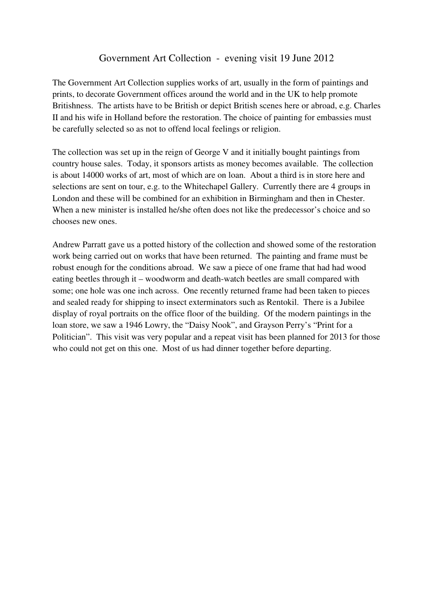## Government Art Collection - evening visit 19 June 2012

The Government Art Collection supplies works of art, usually in the form of paintings and prints, to decorate Government offices around the world and in the UK to help promote Britishness. The artists have to be British or depict British scenes here or abroad, e.g. Charles II and his wife in Holland before the restoration. The choice of painting for embassies must be carefully selected so as not to offend local feelings or religion.

The collection was set up in the reign of George V and it initially bought paintings from country house sales. Today, it sponsors artists as money becomes available. The collection is about 14000 works of art, most of which are on loan. About a third is in store here and selections are sent on tour, e.g. to the Whitechapel Gallery. Currently there are 4 groups in London and these will be combined for an exhibition in Birmingham and then in Chester. When a new minister is installed he/she often does not like the predecessor's choice and so chooses new ones.

Andrew Parratt gave us a potted history of the collection and showed some of the restoration work being carried out on works that have been returned. The painting and frame must be robust enough for the conditions abroad. We saw a piece of one frame that had had wood eating beetles through it – woodworm and death-watch beetles are small compared with some; one hole was one inch across. One recently returned frame had been taken to pieces and sealed ready for shipping to insect exterminators such as Rentokil. There is a Jubilee display of royal portraits on the office floor of the building. Of the modern paintings in the loan store, we saw a 1946 Lowry, the "Daisy Nook", and Grayson Perry's "Print for a Politician". This visit was very popular and a repeat visit has been planned for 2013 for those who could not get on this one. Most of us had dinner together before departing.